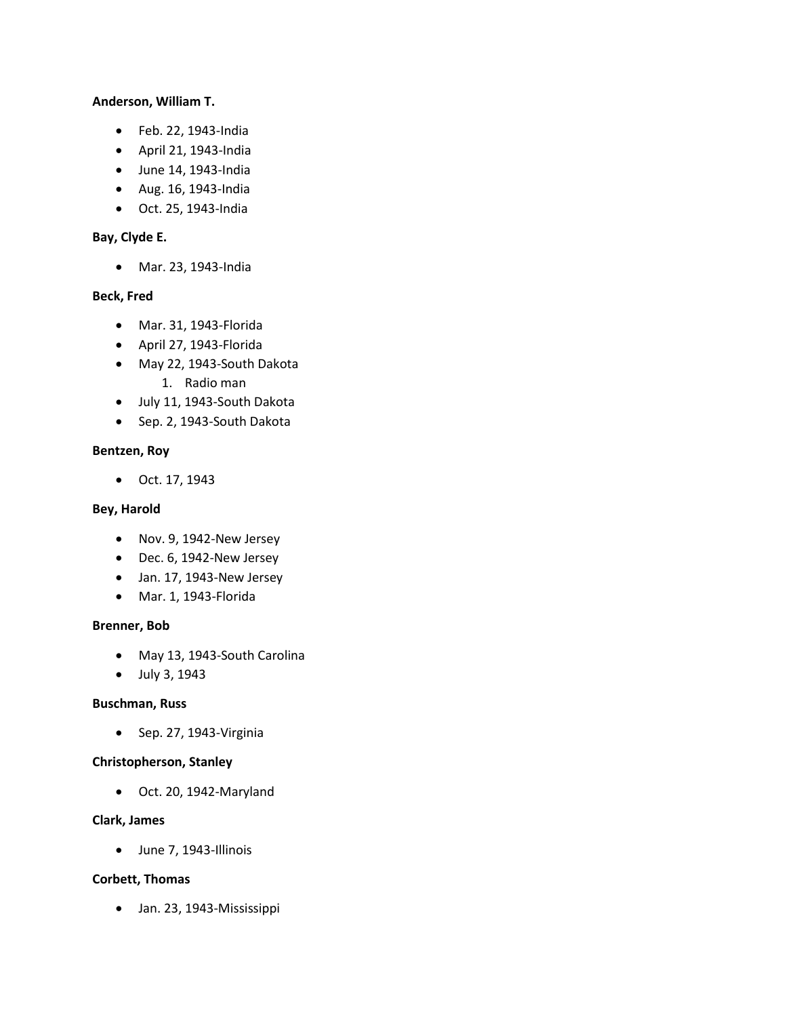# **Anderson, William T.**

- Feb. 22, 1943-India
- April 21, 1943-India
- June 14, 1943-India
- Aug. 16, 1943-India
- Oct. 25, 1943-India

## **Bay, Clyde E.**

• Mar. 23, 1943-India

## **Beck, Fred**

- Mar. 31, 1943-Florida
- April 27, 1943-Florida
- May 22, 1943-South Dakota
	- 1. Radio man
- July 11, 1943-South Dakota
- Sep. 2, 1943-South Dakota

## **Bentzen, Roy**

• Oct. 17, 1943

#### **Bey, Harold**

- Nov. 9, 1942-New Jersey
- Dec. 6, 1942-New Jersey
- Jan. 17, 1943-New Jersey
- Mar. 1, 1943-Florida

#### **Brenner, Bob**

- May 13, 1943-South Carolina
- July 3, 1943

#### **Buschman, Russ**

• Sep. 27, 1943-Virginia

# **Christopherson, Stanley**

• Oct. 20, 1942-Maryland

## **Clark, James**

• June 7, 1943-Illinois

#### **Corbett, Thomas**

• Jan. 23, 1943-Mississippi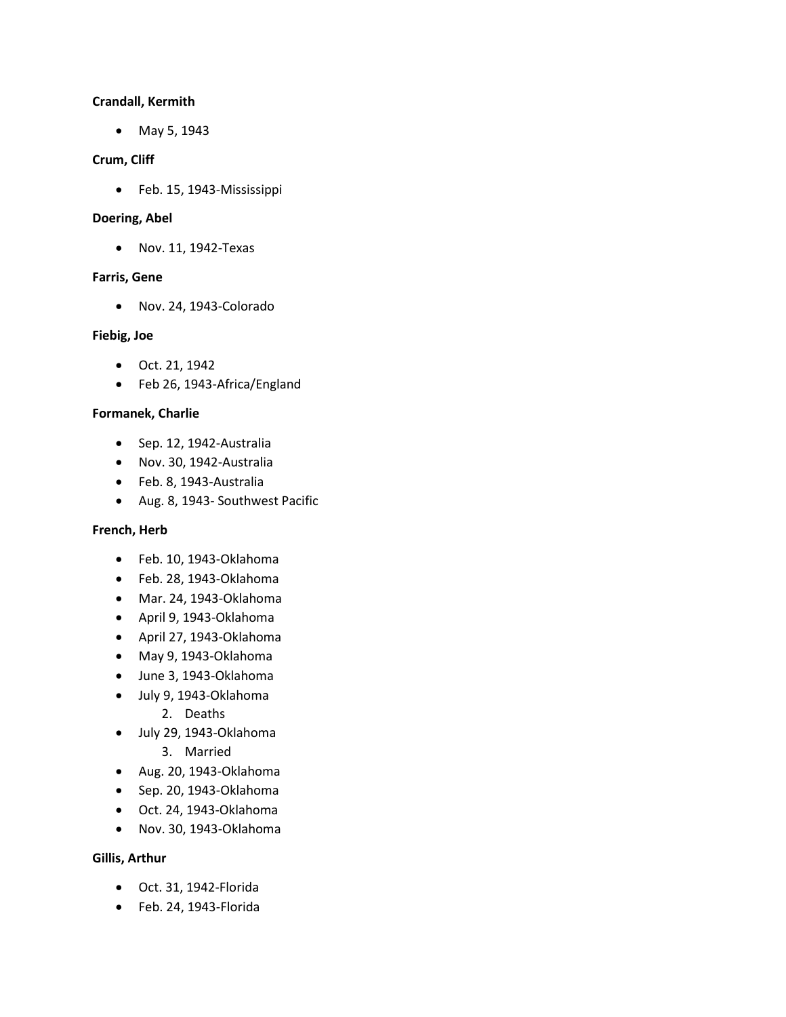#### **Crandall, Kermith**

• May 5, 1943

## **Crum, Cliff**

• Feb. 15, 1943-Mississippi

#### **Doering, Abel**

• Nov. 11, 1942-Texas

## **Farris, Gene**

• Nov. 24, 1943-Colorado

## **Fiebig, Joe**

- Oct. 21, 1942
- Feb 26, 1943-Africa/England

## **Formanek, Charlie**

- Sep. 12, 1942-Australia
- Nov. 30, 1942-Australia
- Feb. 8, 1943-Australia
- Aug. 8, 1943- Southwest Pacific

## **French, Herb**

- Feb. 10, 1943-Oklahoma
- Feb. 28, 1943-Oklahoma
- Mar. 24, 1943-Oklahoma
- April 9, 1943-Oklahoma
- April 27, 1943-Oklahoma
- May 9, 1943-Oklahoma
- June 3, 1943-Oklahoma
- July 9, 1943-Oklahoma
	- 2. Deaths
- July 29, 1943-Oklahoma
	- 3. Married
- Aug. 20, 1943-Oklahoma
- Sep. 20, 1943-Oklahoma
- Oct. 24, 1943-Oklahoma
- Nov. 30, 1943-Oklahoma

#### **Gillis, Arthur**

- Oct. 31, 1942-Florida
- Feb. 24, 1943-Florida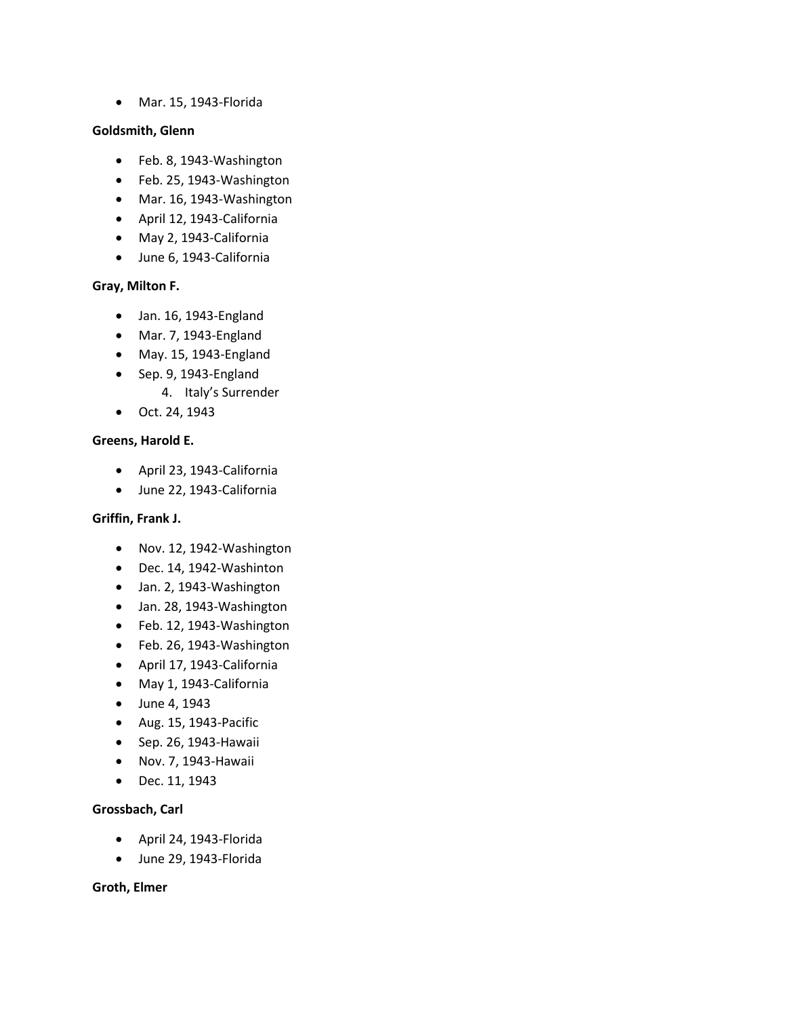• Mar. 15, 1943-Florida

## **Goldsmith, Glenn**

- Feb. 8, 1943-Washington
- Feb. 25, 1943-Washington
- Mar. 16, 1943-Washington
- April 12, 1943-California
- May 2, 1943-California
- June 6, 1943-California

# **Gray, Milton F.**

- Jan. 16, 1943-England
- Mar. 7, 1943-England
- May. 15, 1943-England
- Sep. 9, 1943-England
	- 4. Italy's Surrender
- Oct. 24, 1943

## **Greens, Harold E.**

- April 23, 1943-California
- June 22, 1943-California

# **Griffin, Frank J.**

- Nov. 12, 1942-Washington
- Dec. 14, 1942-Washinton
- Jan. 2, 1943-Washington
- Jan. 28, 1943-Washington
- Feb. 12, 1943-Washington
- Feb. 26, 1943-Washington
- April 17, 1943-California
- May 1, 1943-California
- June 4, 1943
- Aug. 15, 1943-Pacific
- Sep. 26, 1943-Hawaii
- Nov. 7, 1943-Hawaii
- Dec. 11, 1943

# **Grossbach, Carl**

- April 24, 1943-Florida
- June 29, 1943-Florida

#### **Groth, Elmer**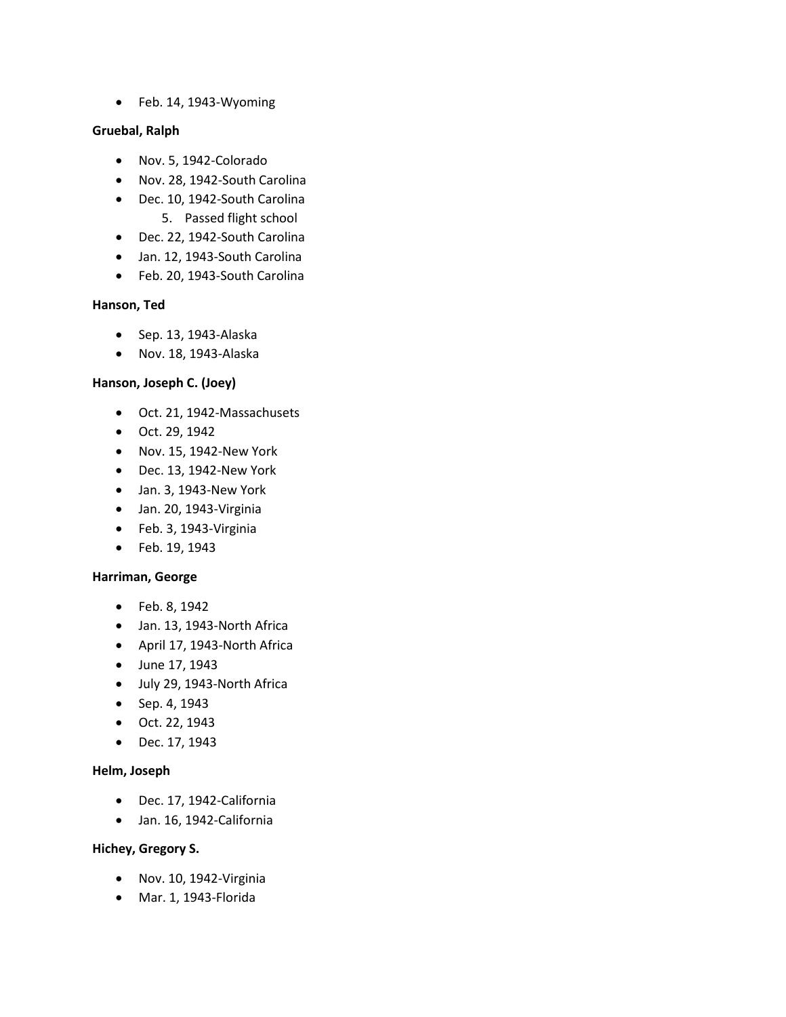• Feb. 14, 1943-Wyoming

## **Gruebal, Ralph**

- Nov. 5, 1942-Colorado
- Nov. 28, 1942-South Carolina
- Dec. 10, 1942-South Carolina
	- 5. Passed flight school
- Dec. 22, 1942-South Carolina
- Jan. 12, 1943-South Carolina
- Feb. 20, 1943-South Carolina

## **Hanson, Ted**

- Sep. 13, 1943-Alaska
- Nov. 18, 1943-Alaska

# **Hanson, Joseph C. (Joey)**

- Oct. 21, 1942-Massachusets
- Oct. 29, 1942
- Nov. 15, 1942-New York
- Dec. 13, 1942-New York
- Jan. 3, 1943-New York
- Jan. 20, 1943-Virginia
- Feb. 3, 1943-Virginia
- Feb. 19, 1943

#### **Harriman, George**

- Feb. 8, 1942
- Jan. 13, 1943-North Africa
- April 17, 1943-North Africa
- June 17, 1943
- July 29, 1943-North Africa
- Sep. 4, 1943
- Oct. 22, 1943
- Dec. 17, 1943

# **Helm, Joseph**

- Dec. 17, 1942-California
- Jan. 16, 1942-California

# **Hichey, Gregory S.**

- Nov. 10, 1942-Virginia
- Mar. 1, 1943-Florida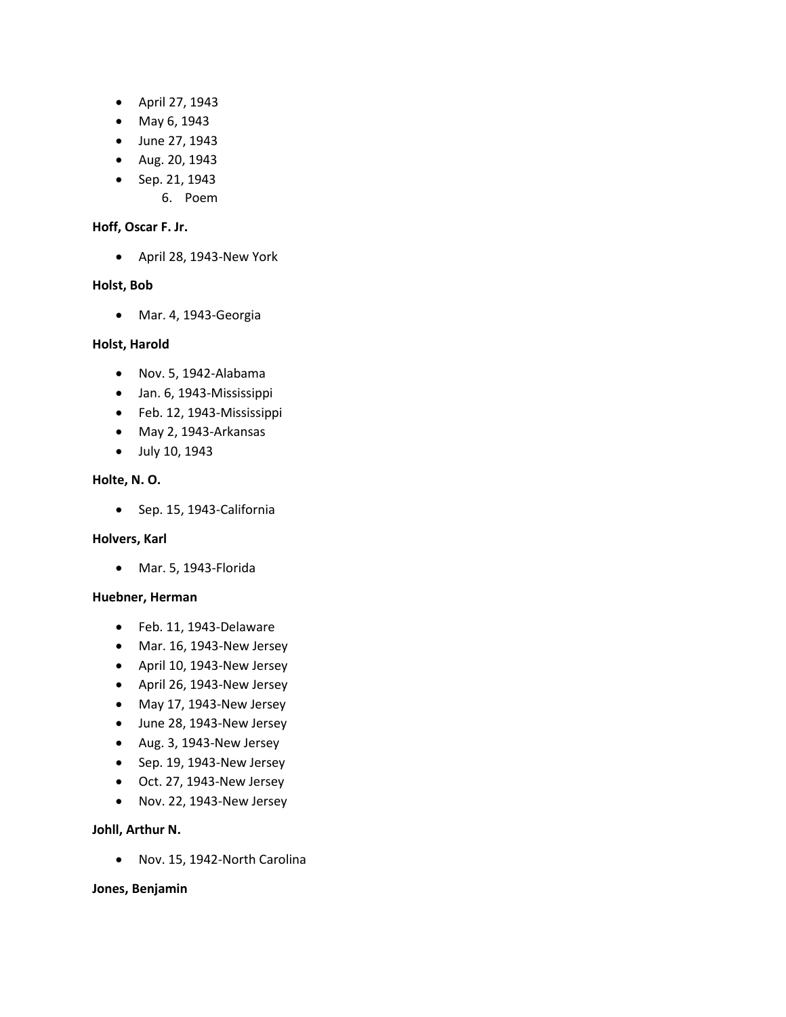- April 27, 1943
- May 6, 1943
- June 27, 1943
- Aug. 20, 1943
- Sep. 21, 1943
	- 6. Poem

#### **Hoff, Oscar F. Jr.**

• April 28, 1943-New York

#### **Holst, Bob**

• Mar. 4, 1943-Georgia

#### **Holst, Harold**

- Nov. 5, 1942-Alabama
- Jan. 6, 1943-Mississippi
- Feb. 12, 1943-Mississippi
- May 2, 1943-Arkansas
- July 10, 1943

# **Holte, N. O.**

• Sep. 15, 1943-California

#### **Holvers, Karl**

• Mar. 5, 1943-Florida

#### **Huebner, Herman**

- Feb. 11, 1943-Delaware
- Mar. 16, 1943-New Jersey
- April 10, 1943-New Jersey
- April 26, 1943-New Jersey
- May 17, 1943-New Jersey
- June 28, 1943-New Jersey
- Aug. 3, 1943-New Jersey
- Sep. 19, 1943-New Jersey
- Oct. 27, 1943-New Jersey
- Nov. 22, 1943-New Jersey

#### **Johll, Arthur N.**

• Nov. 15, 1942-North Carolina

#### **Jones, Benjamin**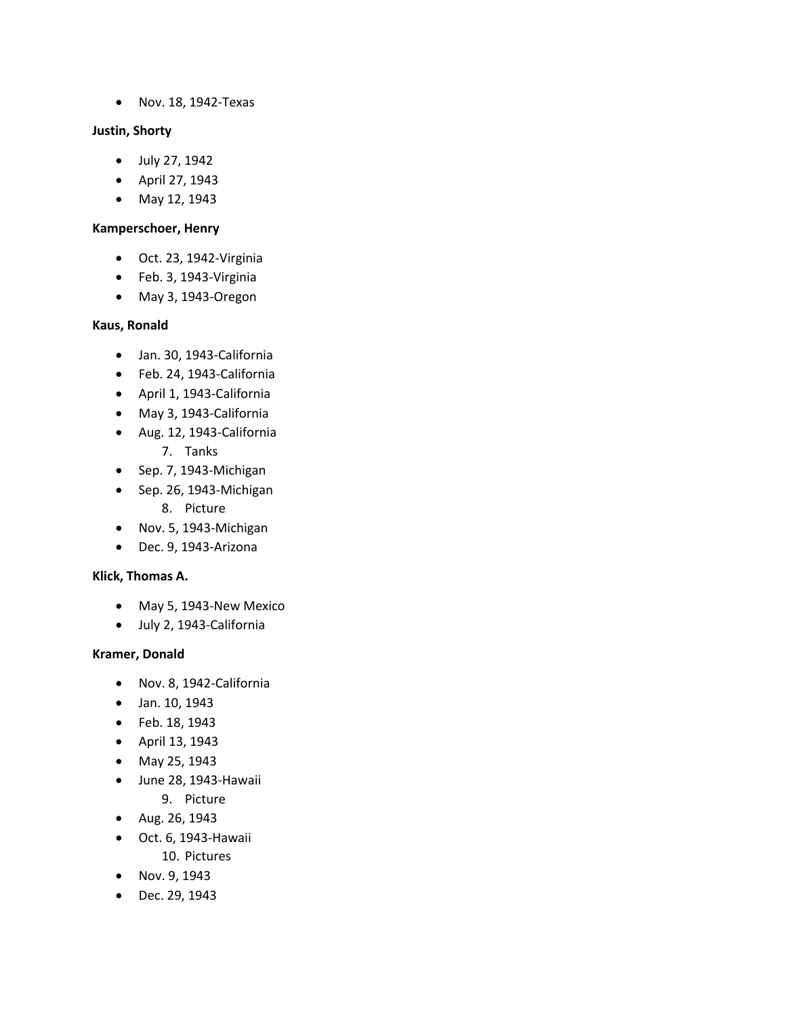• Nov. 18, 1942-Texas

## **Justin, Shorty**

- July 27, 1942
- April 27, 1943
- May 12, 1943

# **Kamperschoer, Henry**

- Oct. 23, 1942-Virginia
- Feb. 3, 1943-Virginia
- May 3, 1943-Oregon

# **Kaus, Ronald**

- Jan. 30, 1943-California
- Feb. 24, 1943-California
- April 1, 1943-California
- May 3, 1943-California
- Aug. 12, 1943-California
	- 7. Tanks
- Sep. 7, 1943-Michigan
- Sep. 26, 1943-Michigan
	- 8. Picture
- Nov. 5, 1943-Michigan
- Dec. 9, 1943-Arizona

# **Klick, Thomas A.**

- May 5, 1943-New Mexico
- July 2, 1943-California

# **Kramer, Donald**

- Nov. 8, 1942-California
- Jan. 10, 1943
- Feb. 18, 1943
- April 13, 1943
- May 25, 1943
- June 28, 1943-Hawaii
	- 9. Picture
- Aug. 26, 1943
- Oct. 6, 1943-Hawaii 10. Pictures
- Nov. 9, 1943
- Dec. 29, 1943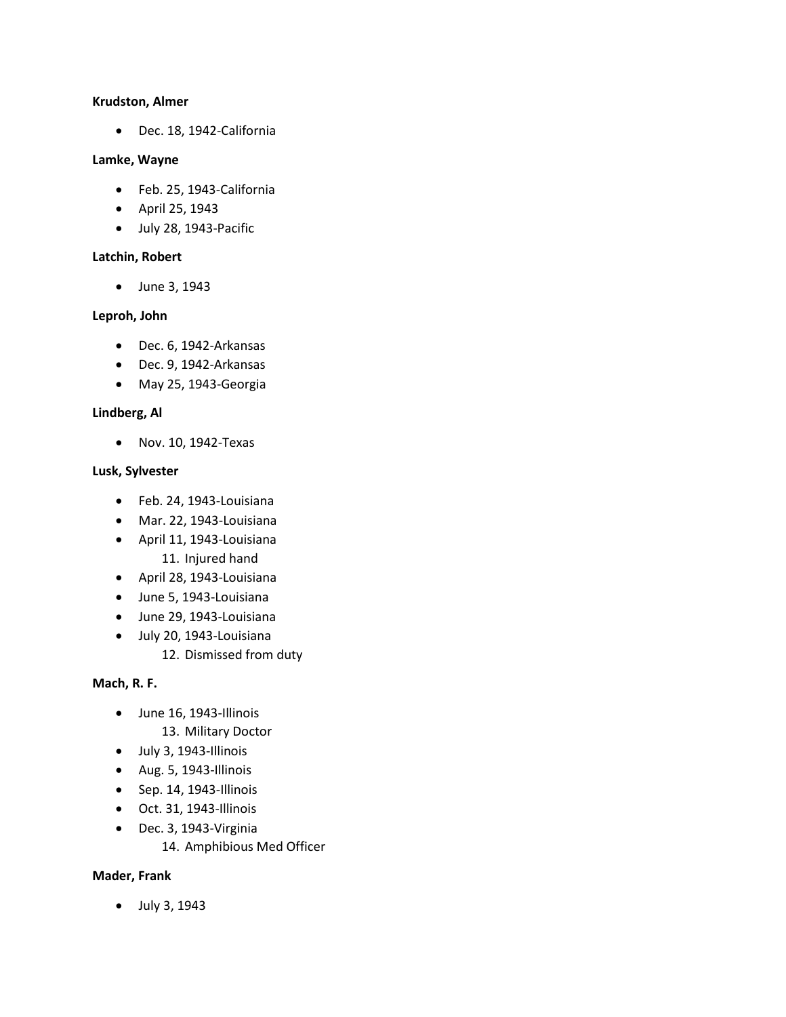#### **Krudston, Almer**

• Dec. 18, 1942-California

#### **Lamke, Wayne**

- Feb. 25, 1943-California
- April 25, 1943
- July 28, 1943-Pacific

# **Latchin, Robert**

• June 3, 1943

# **Leproh, John**

- Dec. 6, 1942-Arkansas
- Dec. 9, 1942-Arkansas
- May 25, 1943-Georgia

# **Lindberg, Al**

• Nov. 10, 1942-Texas

## **Lusk, Sylvester**

- Feb. 24, 1943-Louisiana
- Mar. 22, 1943-Louisiana
- April 11, 1943-Louisiana 11. Injured hand
- April 28, 1943-Louisiana
- June 5, 1943-Louisiana
- June 29, 1943-Louisiana
- July 20, 1943-Louisiana 12. Dismissed from duty

# **Mach, R. F.**

- June 16, 1943-Illinois
	- 13. Military Doctor
- July 3, 1943-Illinois
- Aug. 5, 1943-Illinois
- Sep. 14, 1943-Illinois
- Oct. 31, 1943-Illinois
- Dec. 3, 1943-Virginia
	- 14. Amphibious Med Officer

# **Mader, Frank**

• July 3, 1943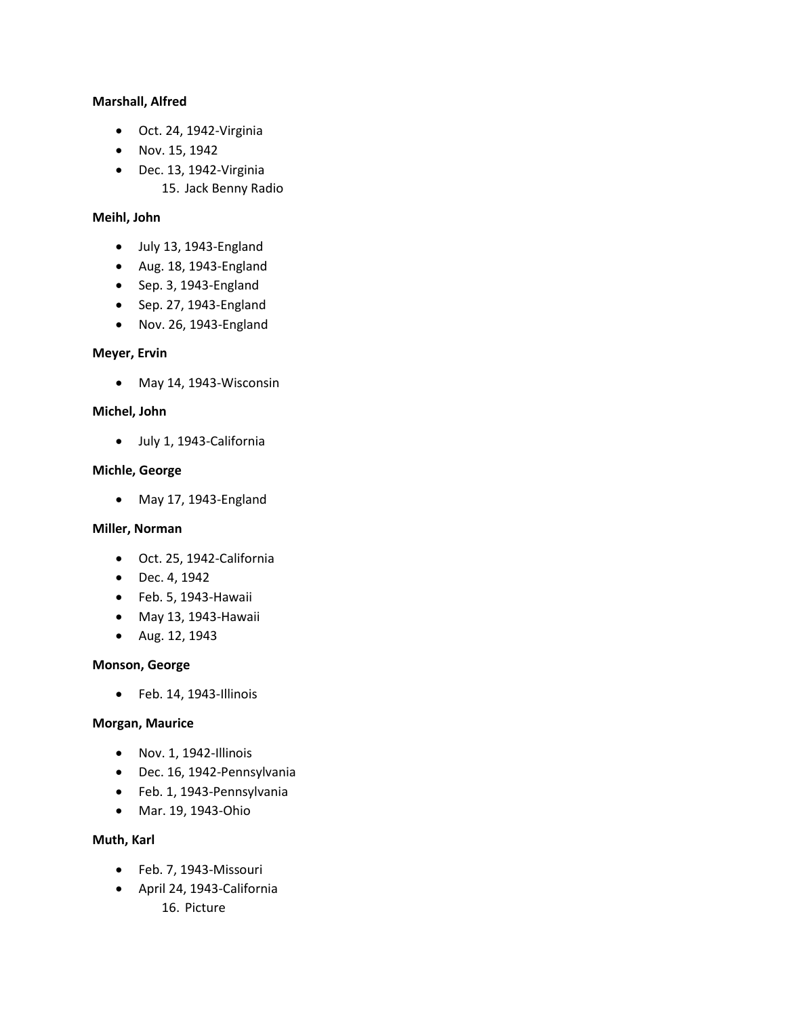## **Marshall, Alfred**

- Oct. 24, 1942-Virginia
- Nov. 15, 1942
- Dec. 13, 1942-Virginia
	- 15. Jack Benny Radio

## **Meihl, John**

- July 13, 1943-England
- Aug. 18, 1943-England
- Sep. 3, 1943-England
- Sep. 27, 1943-England
- Nov. 26, 1943-England

## **Meyer, Ervin**

• May 14, 1943-Wisconsin

# **Michel, John**

• July 1, 1943-California

## **Michle, George**

• May 17, 1943-England

# **Miller, Norman**

- Oct. 25, 1942-California
- Dec. 4, 1942
- Feb. 5, 1943-Hawaii
- May 13, 1943-Hawaii
- Aug. 12, 1943

#### **Monson, George**

• Feb. 14, 1943-Illinois

#### **Morgan, Maurice**

- Nov. 1, 1942-Illinois
- Dec. 16, 1942-Pennsylvania
- Feb. 1, 1943-Pennsylvania
- Mar. 19, 1943-Ohio

# **Muth, Karl**

- Feb. 7, 1943-Missouri
- April 24, 1943-California
	- 16. Picture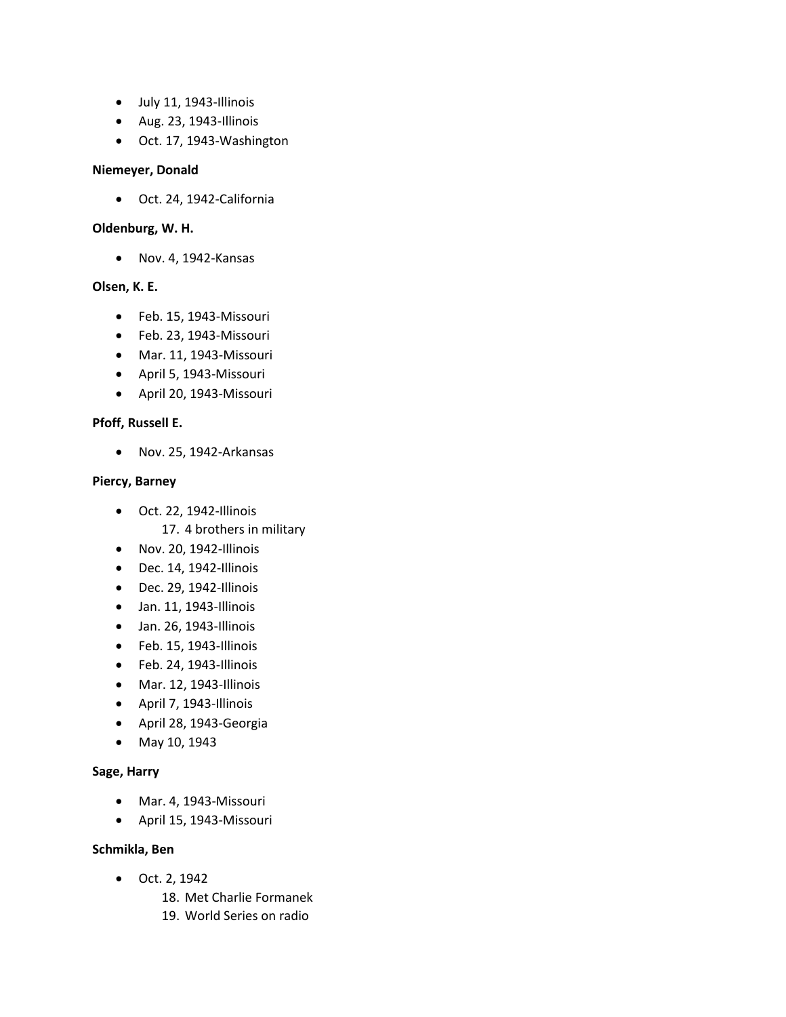- July 11, 1943-Illinois
- Aug. 23, 1943-Illinois
- Oct. 17, 1943-Washington

## **Niemeyer, Donald**

• Oct. 24, 1942-California

## **Oldenburg, W. H.**

• Nov. 4, 1942-Kansas

# **Olsen, K. E.**

- Feb. 15, 1943-Missouri
- Feb. 23, 1943-Missouri
- Mar. 11, 1943-Missouri
- April 5, 1943-Missouri
- April 20, 1943-Missouri

# **Pfoff, Russell E.**

• Nov. 25, 1942-Arkansas

# **Piercy, Barney**

• Oct. 22, 1942-Illinois

17. 4 brothers in military

- Nov. 20, 1942-Illinois
- Dec. 14, 1942-Illinois
- Dec. 29, 1942-Illinois
- Jan. 11, 1943-Illinois
- Jan. 26, 1943-Illinois
- Feb. 15, 1943-Illinois
- Feb. 24, 1943-Illinois
- Mar. 12, 1943-Illinois
- April 7, 1943-Illinois
- April 28, 1943-Georgia
- May 10, 1943

# **Sage, Harry**

- Mar. 4, 1943-Missouri
- April 15, 1943-Missouri

# **Schmikla, Ben**

- Oct. 2, 1942
	- 18. Met Charlie Formanek
	- 19. World Series on radio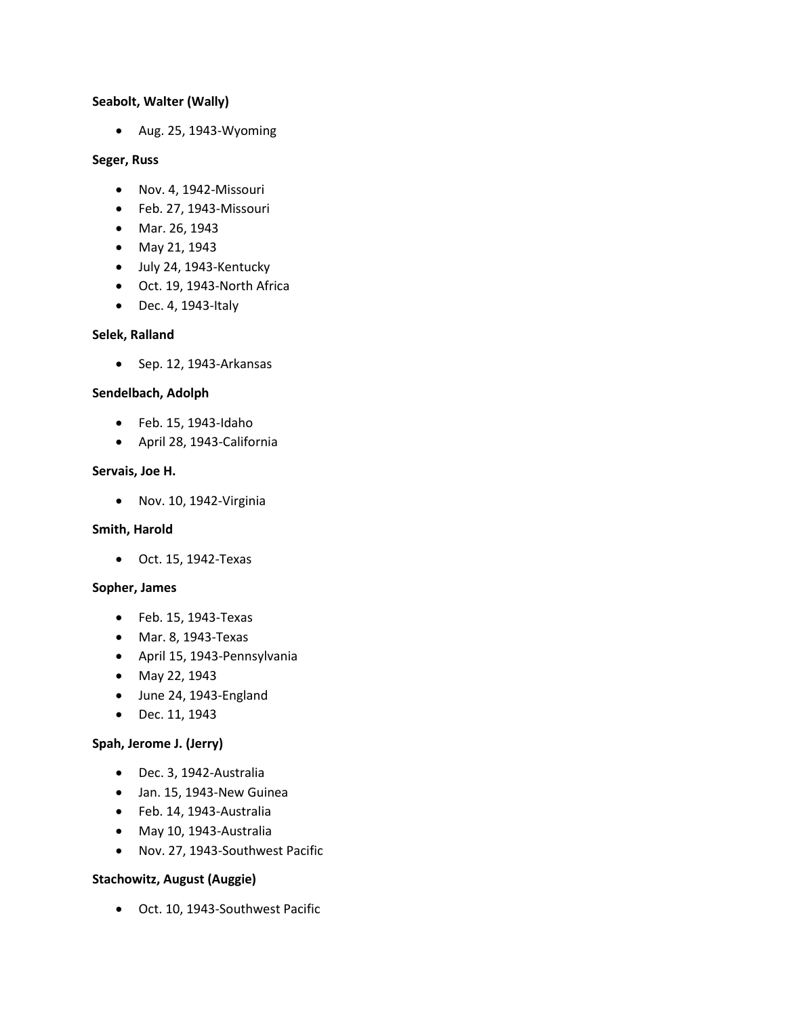## **Seabolt, Walter (Wally)**

• Aug. 25, 1943-Wyoming

#### **Seger, Russ**

- Nov. 4, 1942-Missouri
- Feb. 27, 1943-Missouri
- Mar. 26, 1943
- May 21, 1943
- July 24, 1943-Kentucky
- Oct. 19, 1943-North Africa
- Dec. 4, 1943-Italy

# **Selek, Ralland**

• Sep. 12, 1943-Arkansas

## **Sendelbach, Adolph**

- Feb. 15, 1943-Idaho
- April 28, 1943-California

#### **Servais, Joe H.**

• Nov. 10, 1942-Virginia

## **Smith, Harold**

• Oct. 15, 1942-Texas

#### **Sopher, James**

- Feb. 15, 1943-Texas
- Mar. 8, 1943-Texas
- April 15, 1943-Pennsylvania
- May 22, 1943
- June 24, 1943-England
- Dec. 11, 1943

# **Spah, Jerome J. (Jerry)**

- Dec. 3, 1942-Australia
- Jan. 15, 1943-New Guinea
- Feb. 14, 1943-Australia
- May 10, 1943-Australia
- Nov. 27, 1943-Southwest Pacific

# **Stachowitz, August (Auggie)**

• Oct. 10, 1943-Southwest Pacific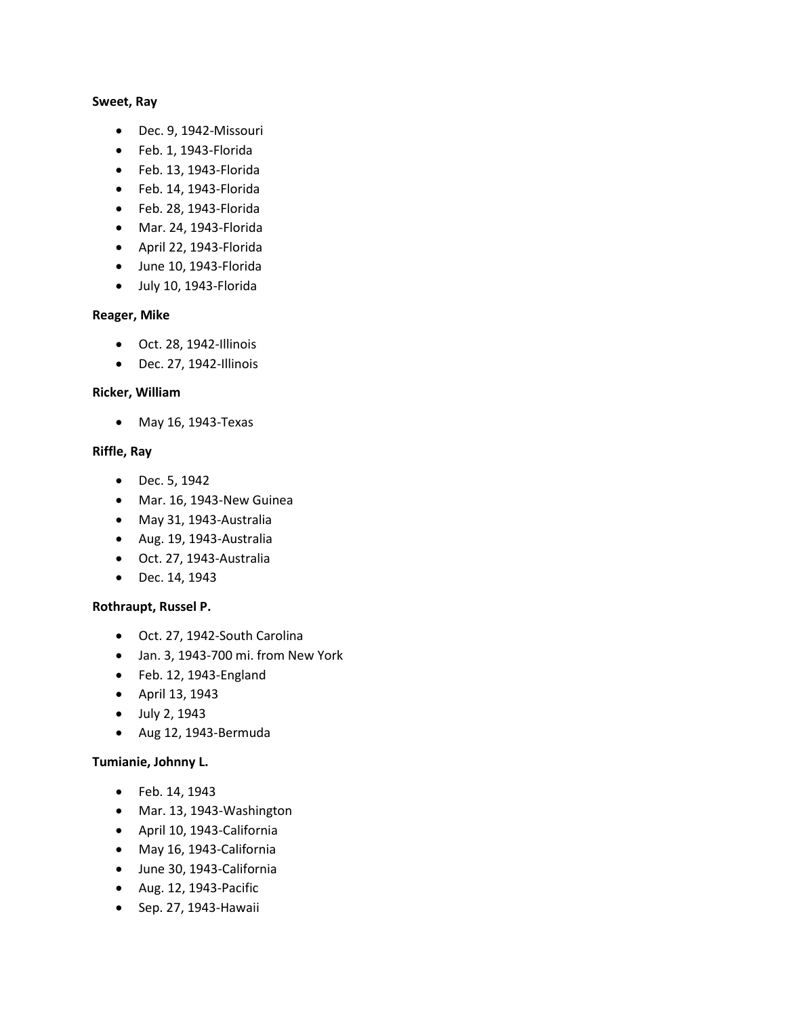#### **Sweet, Ray**

- Dec. 9, 1942-Missouri
- Feb. 1, 1943-Florida
- Feb. 13, 1943-Florida
- Feb. 14, 1943-Florida
- Feb. 28, 1943-Florida
- Mar. 24, 1943-Florida
- April 22, 1943-Florida
- June 10, 1943-Florida
- July 10, 1943-Florida

#### **Reager, Mike**

- Oct. 28, 1942-Illinois
- Dec. 27, 1942-Illinois

## **Ricker, William**

• May 16, 1943-Texas

#### **Riffle, Ray**

- Dec. 5, 1942
- Mar. 16, 1943-New Guinea
- May 31, 1943-Australia
- Aug. 19, 1943-Australia
- Oct. 27, 1943-Australia
- Dec. 14, 1943

#### **Rothraupt, Russel P.**

- Oct. 27, 1942-South Carolina
- Jan. 3, 1943-700 mi. from New York
- Feb. 12, 1943-England
- April 13, 1943
- July 2, 1943
- Aug 12, 1943-Bermuda

#### **Tumianie, Johnny L.**

- Feb. 14, 1943
- Mar. 13, 1943-Washington
- April 10, 1943-California
- May 16, 1943-California
- June 30, 1943-California
- Aug. 12, 1943-Pacific
- Sep. 27, 1943-Hawaii